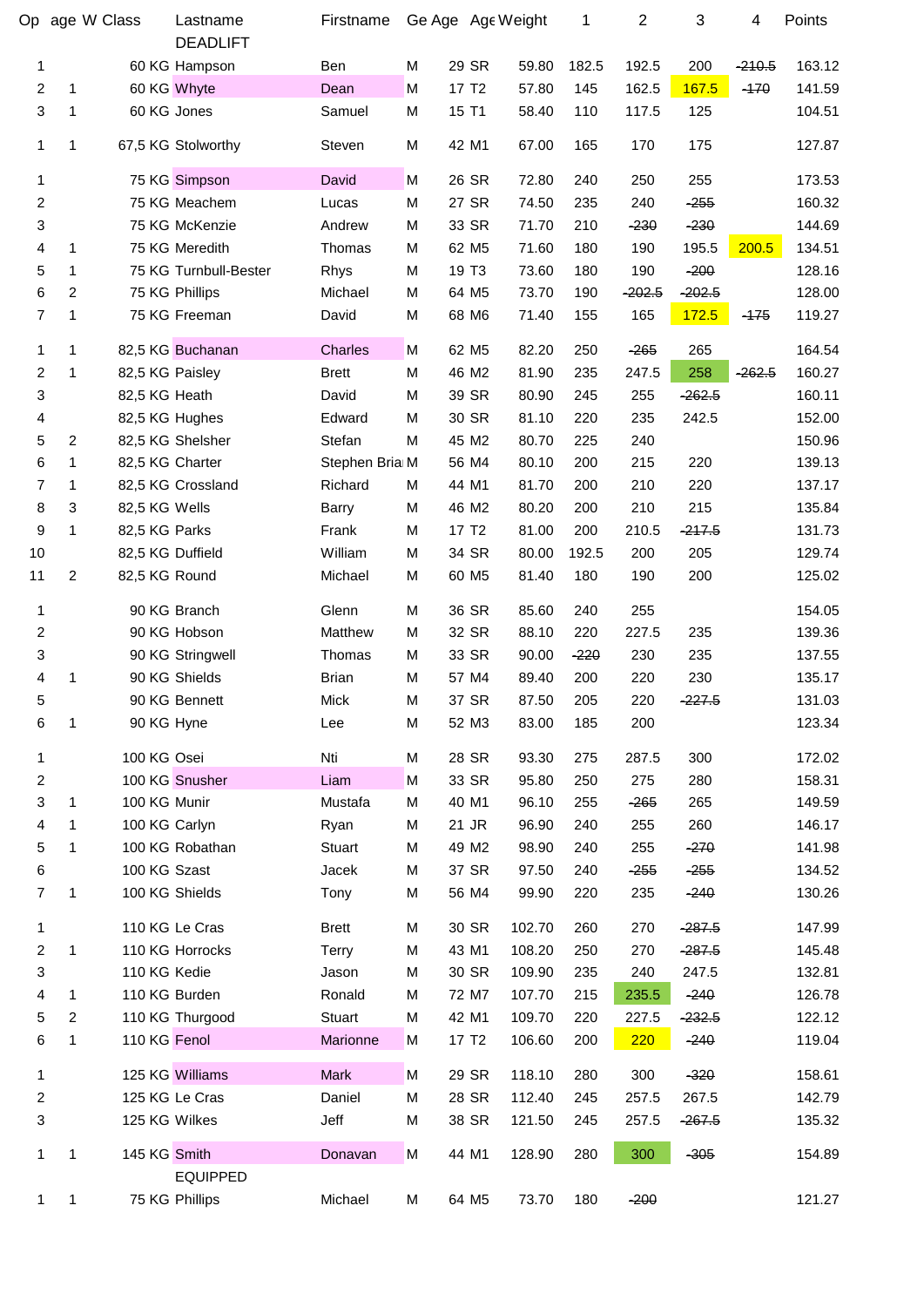|                         |                | Op age W Class   | Lastname<br><b>DEADLIFT</b> | Firstname      | Ge Age Age Weight |                   |        | 1      | $\boldsymbol{2}$ | 3        | 4        | Points |
|-------------------------|----------------|------------------|-----------------------------|----------------|-------------------|-------------------|--------|--------|------------------|----------|----------|--------|
| 1                       |                |                  | 60 KG Hampson               | Ben            | M                 | 29 SR             | 59.80  | 182.5  | 192.5            | 200      | $-210.5$ | 163.12 |
| $\boldsymbol{2}$        | 1              |                  | 60 KG Whyte                 | Dean           | M                 | 17 T <sub>2</sub> | 57.80  | 145    | 162.5            | 167.5    | $-170$   | 141.59 |
| 3                       | 1              | 60 KG Jones      |                             | Samuel         | M                 | 15 T1             | 58.40  | 110    | 117.5            | 125      |          | 104.51 |
| 1                       | 1              |                  | 67,5 KG Stolworthy          | Steven         | M                 | 42 M1             | 67.00  | 165    | 170              | 175      |          | 127.87 |
| 1                       |                |                  | 75 KG Simpson               | David          | M                 | 26 SR             | 72.80  | 240    | 250              | 255      |          | 173.53 |
| 2                       |                |                  | 75 KG Meachem               | Lucas          | M                 | 27 SR             | 74.50  | 235    | 240              | $-255$   |          | 160.32 |
| 3                       |                |                  | 75 KG McKenzie              | Andrew         | M                 | 33 SR             | 71.70  | 210    | $-230$           | $-230$   |          | 144.69 |
| 4                       | 1              |                  | 75 KG Meredith              | Thomas         | M                 | 62 M <sub>5</sub> | 71.60  | 180    | 190              | 195.5    | 200.5    | 134.51 |
| 5                       | 1              |                  | 75 KG Turnbull-Bester       | Rhys           | M                 | 19 T <sub>3</sub> | 73.60  | 180    | 190              | $-200$   |          | 128.16 |
| 6                       | $\overline{2}$ |                  | 75 KG Phillips              | Michael        | M                 | 64 M <sub>5</sub> | 73.70  | 190    | $-202.5$         | $-202.5$ |          | 128.00 |
| $\overline{7}$          | 1              |                  | 75 KG Freeman               | David          | M                 | 68 M6             | 71.40  | 155    | 165              | 172.5    | $-175$   | 119.27 |
| 1                       | 1              |                  | 82,5 KG Buchanan            | <b>Charles</b> | M                 | 62 M <sub>5</sub> | 82.20  | 250    | $-265$           | 265      |          | 164.54 |
| $\overline{c}$          | 1              | 82,5 KG Paisley  |                             | <b>Brett</b>   | M                 | 46 M2             | 81.90  | 235    | 247.5            | 258      | $-262.5$ | 160.27 |
| 3                       |                | 82,5 KG Heath    |                             | David          | M                 | 39 SR             | 80.90  | 245    | 255              | $-262.5$ |          | 160.11 |
| 4                       |                | 82,5 KG Hughes   |                             | Edward         | M                 | 30 SR             | 81.10  | 220    | 235              | 242.5    |          | 152.00 |
| 5                       | $\overline{2}$ |                  | 82,5 KG Shelsher            | Stefan         | M                 | 45 M2             | 80.70  | 225    | 240              |          |          | 150.96 |
| 6                       | 1              | 82,5 KG Charter  |                             | Stephen Bria M |                   | 56 M4             | 80.10  | 200    | 215              | 220      |          | 139.13 |
| 7                       | 1              |                  | 82,5 KG Crossland           | Richard        | M                 | 44 M1             | 81.70  | 200    | 210              | 220      |          | 137.17 |
| 8                       | 3              | 82,5 KG Wells    |                             | Barry          | M                 | 46 M <sub>2</sub> | 80.20  | 200    | 210              | 215      |          | 135.84 |
| 9                       | 1              | 82,5 KG Parks    |                             | Frank          | M                 | 17 T <sub>2</sub> | 81.00  | 200    | 210.5            | $-217.5$ |          | 131.73 |
| 10                      |                | 82,5 KG Duffield |                             | William        | M                 | 34 SR             | 80.00  | 192.5  | 200              | 205      |          | 129.74 |
| 11                      | $\overline{2}$ | 82,5 KG Round    |                             | Michael        | M                 | 60 M <sub>5</sub> | 81.40  | 180    | 190              | 200      |          | 125.02 |
| 1                       |                |                  | 90 KG Branch                | Glenn          | M                 | 36 SR             | 85.60  | 240    | 255              |          |          | 154.05 |
| 2                       |                |                  | 90 KG Hobson                | Matthew        | M                 | 32 SR             | 88.10  | 220    | 227.5            | 235      |          | 139.36 |
| 3                       |                |                  | 90 KG Stringwell            | Thomas         | M                 | 33 SR             | 90.00  | $-220$ | 230              | 235      |          | 137.55 |
| 4                       | 1              |                  | 90 KG Shields               | <b>Brian</b>   | M                 | 57 M4             | 89.40  | 200    | 220              | 230      |          | 135.17 |
| 5                       |                |                  | 90 KG Bennett               | Mick           | М                 | 37 SR             | 87.50  | 205    | 220              | $-227.5$ |          | 131.03 |
| 6                       | 1              | 90 KG Hyne       |                             | Lee            | M                 | 52 M3             | 83.00  | 185    | 200              |          |          | 123.34 |
| 1                       |                | 100 KG Osei      |                             | Nti            | M                 | 28 SR             | 93.30  | 275    | 287.5            | 300      |          | 172.02 |
| 2                       |                |                  | 100 KG Snusher              | Liam           | M                 | 33 SR             | 95.80  | 250    | 275              | 280      |          | 158.31 |
| 3                       | 1              | 100 KG Munir     |                             | Mustafa        | M                 | 40 M1             | 96.10  | 255    | $-265$           | 265      |          | 149.59 |
| 4                       |                | 100 KG Carlyn    |                             | Ryan           | M                 | 21 JR             | 96.90  | 240    | 255              | 260      |          | 146.17 |
| 5                       | 1              |                  | 100 KG Robathan             | Stuart         | M                 | 49 M2             | 98.90  | 240    | 255              | $-270$   |          | 141.98 |
| 6                       |                | 100 KG Szast     |                             | Jacek          | M                 | 37 SR             | 97.50  | 240    | $-255$           | $-255$   |          | 134.52 |
| 7                       | 1              |                  | 100 KG Shields              | Tony           | M                 | 56 M4             | 99.90  | 220    | 235              | $-240$   |          | 130.26 |
| 1                       |                |                  | 110 KG Le Cras              | <b>Brett</b>   | M                 | 30 SR             | 102.70 | 260    | 270              | $-287.5$ |          | 147.99 |
| $\overline{\mathbf{c}}$ | 1              |                  | 110 KG Horrocks             | <b>Terry</b>   | M                 | 43 M1             | 108.20 | 250    | 270              | $-287.5$ |          | 145.48 |
| 3                       |                | 110 KG Kedie     |                             | Jason          | M                 | 30 SR             | 109.90 | 235    | 240              | 247.5    |          | 132.81 |
| 4                       | 1              |                  | 110 KG Burden               | Ronald         | M                 | 72 M7             | 107.70 | 215    | 235.5            | $-240$   |          | 126.78 |
| 5                       | 2              |                  | 110 KG Thurgood             | Stuart         | M                 | 42 M1             | 109.70 | 220    | 227.5            | $-232.5$ |          | 122.12 |
| 6                       | 1              | 110 KG Fenol     |                             | Marionne       | M                 | 17 T <sub>2</sub> | 106.60 | 200    | 220              | $-240$   |          | 119.04 |
| 1                       |                |                  | 125 KG Williams             | <b>Mark</b>    | M                 | 29 SR             | 118.10 | 280    | 300              | $-320$   |          | 158.61 |
| $\overline{\mathbf{c}}$ |                |                  | 125 KG Le Cras              | Daniel         | M                 | 28 SR             | 112.40 | 245    | 257.5            | 267.5    |          | 142.79 |
| 3                       |                | 125 KG Wilkes    |                             | Jeff           | M                 | 38 SR             | 121.50 | 245    | 257.5            | $-267.5$ |          | 135.32 |
| 1                       | 1              | 145 KG Smith     | <b>EQUIPPED</b>             | Donavan        | M                 | 44 M1             | 128.90 | 280    | 300              | $-305$   |          | 154.89 |
| 1                       | 1              |                  | 75 KG Phillips              | Michael        | M                 | 64 M <sub>5</sub> | 73.70  | 180    | $-200$           |          |          | 121.27 |